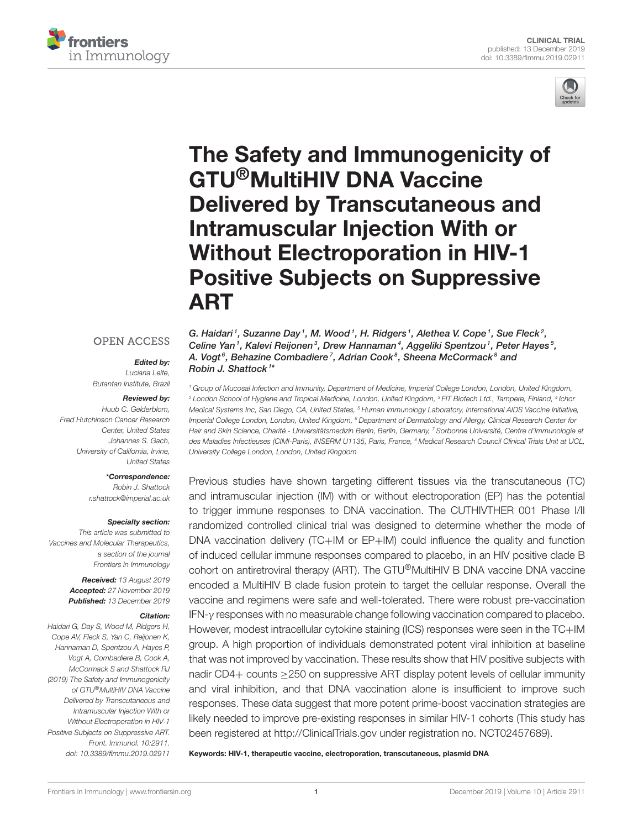



# [The Safety and Immunogenicity of](https://www.frontiersin.org/articles/10.3389/fimmu.2019.02911/full) GTU®MultiHIV DNA Vaccine Delivered by Transcutaneous and Intramuscular Injection With or Without Electroporation in HIV-1 Positive Subjects on Suppressive ART

#### **OPEN ACCESS**

#### Edited by:

Luciana Leite, Butantan Institute, Brazil

#### Reviewed by:

Huub C. Gelderblom, Fred Hutchinson Cancer Research Center, United States Johannes S. Gach, University of California, Irvine, United States

#### \*Correspondence:

Robin J. Shattock [r.shattock@imperial.ac.uk](mailto:r.shattock@imperial.ac.uk)

#### Specialty section:

This article was submitted to Vaccines and Molecular Therapeutics, a section of the journal Frontiers in Immunology

> Received: 13 August 2019 Accepted: 27 November 2019 Published: 13 December 2019

#### Citation:

Haidari G, Day S, Wood M, Ridgers H, Cope AV, Fleck S, Yan C, Reijonen K, Hannaman D, Spentzou A, Hayes P, Vogt A, Combadiere B, Cook A, McCormack S and Shattock RJ (2019) The Safety and Immunogenicity of GTU®MultiHIV DNA Vaccine Delivered by Transcutaneous and Intramuscular Injection With or Without Electroporation in HIV-1 Positive Subjects on Suppressive ART. Front. Immunol. 10:2911. doi: [10.3389/fimmu.2019.02911](https://doi.org/10.3389/fimmu.2019.02911) G. Haidari<sup>1</sup>, [Suzanne Day](http://loop.frontiersin.org/people/829874/overview)<sup>1</sup>, [M. Wood](http://loop.frontiersin.org/people/841898/overview)<sup>1</sup>, H. Ridgers<sup>1</sup>, [Alethea V. Cope](http://loop.frontiersin.org/people/393690/overview)<sup>1</sup>, [Sue Fleck](http://loop.frontiersin.org/people/806480/overview)<sup>2</sup>, Celine Yan<sup>1</sup>, Kalevi Reijonen<sup>3</sup>, Drew Hannaman<sup>4</sup>, [Aggeliki Spentzou](http://loop.frontiersin.org/people/828758/overview)<sup>1</sup>, [Peter Hayes](http://loop.frontiersin.org/people/393712/overview)<sup>5</sup>, A. Vogt<sup>6</sup>, [Behazine Combadiere](http://loop.frontiersin.org/people/750027/overview)<sup>7</sup>, [Adrian Cook](http://loop.frontiersin.org/people/798249/overview)<sup>8</sup>, [Sheena McCormack](http://loop.frontiersin.org/people/404592/overview)<sup>8</sup> and [Robin J. Shattock](http://loop.frontiersin.org/people/24863/overview) <sup>1</sup> \*

<sup>1</sup> Group of Mucosal Infection and Immunity, Department of Medicine, Imperial College London, London, United Kingdom, <sup>2</sup> London School of Hygiene and Tropical Medicine, London, United Kingdom, <sup>3</sup> FIT Biotech Ltd., Tampere, Finland, <sup>4</sup> Ichor Medical Systems Inc, San Diego, CA, United States, <sup>5</sup> Human Immunology Laboratory, International AIDS Vaccine Initiative, Imperial College London, London, United Kingdom, <sup>6</sup> Department of Dermatology and Allergy, Clinical Research Center for Hair and Skin Science, Charité - Universitätsmedizin Berlin, Berlin, Germany, 7 Sorbonne Université, Centre d'Immunologie et des Maladies Infectieuses (CIMI-Paris), INSERM U1135, Paris, France, <sup>8</sup> Medical Research Council Clinical Trials Unit at UCL, University College London, London, United Kingdom

Previous studies have shown targeting different tissues via the transcutaneous (TC) and intramuscular injection (IM) with or without electroporation (EP) has the potential to trigger immune responses to DNA vaccination. The CUTHIVTHER 001 Phase I/II randomized controlled clinical trial was designed to determine whether the mode of DNA vaccination delivery (TC+IM or EP+IM) could influence the quality and function of induced cellular immune responses compared to placebo, in an HIV positive clade B cohort on antiretroviral therapy (ART). The GTU®MultiHIV B DNA vaccine DNA vaccine encoded a MultiHIV B clade fusion protein to target the cellular response. Overall the vaccine and regimens were safe and well-tolerated. There were robust pre-vaccination IFN-γ responses with no measurable change following vaccination compared to placebo. However, modest intracellular cytokine staining (ICS) responses were seen in the TC+IM group. A high proportion of individuals demonstrated potent viral inhibition at baseline that was not improved by vaccination. These results show that HIV positive subjects with nadir CD4+ counts ≥250 on suppressive ART display potent levels of cellular immunity and viral inhibition, and that DNA vaccination alone is insufficient to improve such responses. These data suggest that more potent prime-boost vaccination strategies are likely needed to improve pre-existing responses in similar HIV-1 cohorts (This study has been registered at<http://ClinicalTrials.gov> under registration no. NCT02457689).

Keywords: HIV-1, therapeutic vaccine, electroporation, transcutaneous, plasmid DNA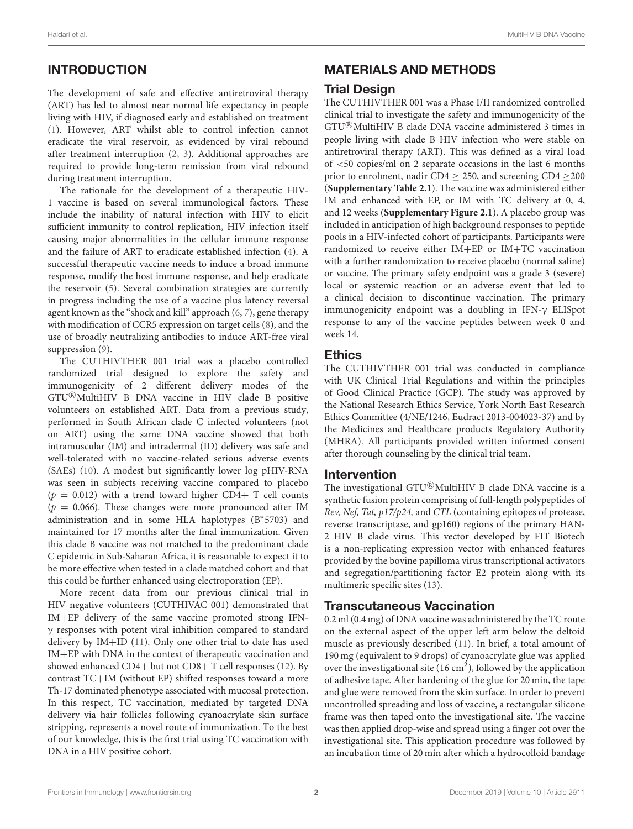# INTRODUCTION

The development of safe and effective antiretroviral therapy (ART) has led to almost near normal life expectancy in people living with HIV, if diagnosed early and established on treatment [\(1\)](#page-7-0). However, ART whilst able to control infection cannot eradicate the viral reservoir, as evidenced by viral rebound after treatment interruption [\(2,](#page-7-1) [3\)](#page-7-2). Additional approaches are required to provide long-term remission from viral rebound during treatment interruption.

The rationale for the development of a therapeutic HIV-1 vaccine is based on several immunological factors. These include the inability of natural infection with HIV to elicit sufficient immunity to control replication, HIV infection itself causing major abnormalities in the cellular immune response and the failure of ART to eradicate established infection [\(4\)](#page-7-3). A successful therapeutic vaccine needs to induce a broad immune response, modify the host immune response, and help eradicate the reservoir [\(5\)](#page-7-4). Several combination strategies are currently in progress including the use of a vaccine plus latency reversal agent known as the "shock and kill" approach [\(6,](#page-7-5) [7\)](#page-7-6), gene therapy with modification of CCR5 expression on target cells [\(8\)](#page-7-7), and the use of broadly neutralizing antibodies to induce ART-free viral suppression [\(9\)](#page-7-8).

The CUTHIVTHER 001 trial was a placebo controlled randomized trial designed to explore the safety and immunogenicity of 2 different delivery modes of the GTU <sup>R</sup> MultiHIV B DNA vaccine in HIV clade B positive volunteers on established ART. Data from a previous study, performed in South African clade C infected volunteers (not on ART) using the same DNA vaccine showed that both intramuscular (IM) and intradermal (ID) delivery was safe and well-tolerated with no vaccine-related serious adverse events (SAEs) [\(10\)](#page-7-9). A modest but significantly lower log pHIV-RNA was seen in subjects receiving vaccine compared to placebo ( $p = 0.012$ ) with a trend toward higher CD4+ T cell counts ( $p = 0.066$ ). These changes were more pronounced after IM administration and in some HLA haplotypes (B<sup>∗</sup> 5703) and maintained for 17 months after the final immunization. Given this clade B vaccine was not matched to the predominant clade C epidemic in Sub-Saharan Africa, it is reasonable to expect it to be more effective when tested in a clade matched cohort and that this could be further enhanced using electroporation (EP).

More recent data from our previous clinical trial in HIV negative volunteers (CUTHIVAC 001) demonstrated that IM+EP delivery of the same vaccine promoted strong IFNγ responses with potent viral inhibition compared to standard delivery by IM+ID [\(11\)](#page-7-10). Only one other trial to date has used IM+EP with DNA in the context of therapeutic vaccination and showed enhanced CD4+ but not CD8+ T cell responses [\(12\)](#page-7-11). By contrast TC+IM (without EP) shifted responses toward a more Th-17 dominated phenotype associated with mucosal protection. In this respect, TC vaccination, mediated by targeted DNA delivery via hair follicles following cyanoacrylate skin surface stripping, represents a novel route of immunization. To the best of our knowledge, this is the first trial using TC vaccination with DNA in a HIV positive cohort.

# MATERIALS AND METHODS

#### Trial Design

The CUTHIVTHER 001 was a Phase I/II randomized controlled clinical trial to investigate the safety and immunogenicity of the GTU<sup>®</sup>MultiHIV B clade DNA vaccine administered 3 times in people living with clade B HIV infection who were stable on antiretroviral therapy (ART). This was defined as a viral load of <50 copies/ml on 2 separate occasions in the last 6 months prior to enrolment, nadir CD4  $\geq$  250, and screening CD4  $\geq$ 200 (**[Supplementary Table 2.1](#page-7-12)**). The vaccine was administered either IM and enhanced with EP, or IM with TC delivery at 0, 4, and 12 weeks (**[Supplementary Figure 2.1](#page-7-12)**). A placebo group was included in anticipation of high background responses to peptide pools in a HIV-infected cohort of participants. Participants were randomized to receive either IM+EP or IM+TC vaccination with a further randomization to receive placebo (normal saline) or vaccine. The primary safety endpoint was a grade 3 (severe) local or systemic reaction or an adverse event that led to a clinical decision to discontinue vaccination. The primary immunogenicity endpoint was a doubling in IFN-γ ELISpot response to any of the vaccine peptides between week 0 and week 14.

#### Ethics

The CUTHIVTHER 001 trial was conducted in compliance with UK Clinical Trial Regulations and within the principles of Good Clinical Practice (GCP). The study was approved by the National Research Ethics Service, York North East Research Ethics Committee (4/NE/1246, Eudract 2013-004023-37) and by the Medicines and Healthcare products Regulatory Authority (MHRA). All participants provided written informed consent after thorough counseling by the clinical trial team.

#### Intervention

The investigational GTU<sup>®</sup>MultiHIV B clade DNA vaccine is a synthetic fusion protein comprising of full-length polypeptides of Rev, Nef, Tat, p17/p24, and CTL (containing epitopes of protease, reverse transcriptase, and gp160) regions of the primary HAN-2 HIV B clade virus. This vector developed by FIT Biotech is a non-replicating expression vector with enhanced features provided by the bovine papilloma virus transcriptional activators and segregation/partitioning factor E2 protein along with its multimeric specific sites [\(13\)](#page-7-13).

#### Transcutaneous Vaccination

0.2 ml (0.4 mg) of DNA vaccine was administered by the TC route on the external aspect of the upper left arm below the deltoid muscle as previously described [\(11\)](#page-7-10). In brief, a total amount of 190 mg (equivalent to 9 drops) of cyanoacrylate glue was applied over the investigational site  $(16 \text{ cm}^2)$ , followed by the application of adhesive tape. After hardening of the glue for 20 min, the tape and glue were removed from the skin surface. In order to prevent uncontrolled spreading and loss of vaccine, a rectangular silicone frame was then taped onto the investigational site. The vaccine was then applied drop-wise and spread using a finger cot over the investigational site. This application procedure was followed by an incubation time of 20 min after which a hydrocolloid bandage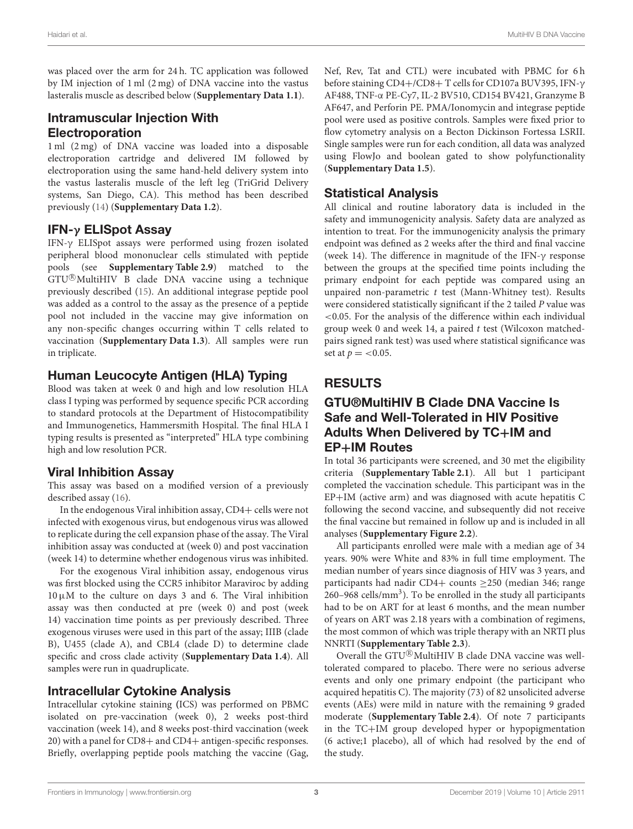was placed over the arm for 24 h. TC application was followed by IM injection of 1 ml (2 mg) of DNA vaccine into the vastus lasteralis muscle as described below (**[Supplementary Data 1.1](#page-7-12)**).

### Intramuscular Injection With Electroporation

1 ml (2 mg) of DNA vaccine was loaded into a disposable electroporation cartridge and delivered IM followed by electroporation using the same hand-held delivery system into the vastus lasteralis muscle of the left leg (TriGrid Delivery systems, San Diego, CA). This method has been described previously [\(14\)](#page-7-14) (**[Supplementary Data 1.2](#page-7-12)**).

#### IFN-γ ELISpot Assay

IFN-γ ELISpot assays were performed using frozen isolated peripheral blood mononuclear cells stimulated with peptide pools (see **[Supplementary Table 2.9](#page-7-12)**) matched to the GTU<sup>®</sup>MultiHIV B clade DNA vaccine using a technique previously described [\(15\)](#page-7-15). An additional integrase peptide pool was added as a control to the assay as the presence of a peptide pool not included in the vaccine may give information on any non-specific changes occurring within T cells related to vaccination (**[Supplementary Data 1.3](#page-7-12)**). All samples were run in triplicate.

### Human Leucocyte Antigen (HLA) Typing

Blood was taken at week 0 and high and low resolution HLA class I typing was performed by sequence specific PCR according to standard protocols at the Department of Histocompatibility and Immunogenetics, Hammersmith Hospital. The final HLA I typing results is presented as "interpreted" HLA type combining high and low resolution PCR.

### Viral Inhibition Assay

This assay was based on a modified version of a previously described assay [\(16\)](#page-7-16).

In the endogenous Viral inhibition assay, CD4+ cells were not infected with exogenous virus, but endogenous virus was allowed to replicate during the cell expansion phase of the assay. The Viral inhibition assay was conducted at (week 0) and post vaccination (week 14) to determine whether endogenous virus was inhibited.

For the exogenous Viral inhibition assay, endogenous virus was first blocked using the CCR5 inhibitor Maraviroc by adding  $10 \mu$ M to the culture on days 3 and 6. The Viral inhibition assay was then conducted at pre (week 0) and post (week 14) vaccination time points as per previously described. Three exogenous viruses were used in this part of the assay; IIIB (clade B), U455 (clade A), and CBL4 (clade D) to determine clade specific and cross clade activity (**[Supplementary Data 1.4](#page-7-12)**). All samples were run in quadruplicate.

#### Intracellular Cytokine Analysis

Intracellular cytokine staining **(**ICS) was performed on PBMC isolated on pre-vaccination (week 0), 2 weeks post-third vaccination (week 14), and 8 weeks post-third vaccination (week 20) with a panel for CD8+ and CD4+ antigen-specific responses. Briefly, overlapping peptide pools matching the vaccine (Gag, Nef, Rev, Tat and CTL) were incubated with PBMC for 6 h before staining CD4+/CD8+ T cells for CD107a BUV395, IFN-γ AF488, TNF-α PE-Cy7, IL-2 BV510, CD154 BV421, Granzyme B AF647, and Perforin PE. PMA/Ionomycin and integrase peptide pool were used as positive controls. Samples were fixed prior to flow cytometry analysis on a Becton Dickinson Fortessa LSRII. Single samples were run for each condition, all data was analyzed using FlowJo and boolean gated to show polyfunctionality (**[Supplementary Data 1.5](#page-7-12)**).

### Statistical Analysis

All clinical and routine laboratory data is included in the safety and immunogenicity analysis. Safety data are analyzed as intention to treat. For the immunogenicity analysis the primary endpoint was defined as 2 weeks after the third and final vaccine (week 14). The difference in magnitude of the IFN-γ response between the groups at the specified time points including the primary endpoint for each peptide was compared using an unpaired non-parametric  $t$  test (Mann-Whitney test). Results were considered statistically significant if the 2 tailed P value was <0.05. For the analysis of the difference within each individual group week 0 and week 14, a paired t test (Wilcoxon matchedpairs signed rank test) was used where statistical significance was set at  $p = < 0.05$ .

# RESULTS

#### GTU®MultiHIV B Clade DNA Vaccine Is Safe and Well-Tolerated in HIV Positive Adults When Delivered by TC+IM and EP+IM Routes

In total 36 participants were screened, and 30 met the eligibility criteria (**[Supplementary Table 2.1](#page-7-12)**). All but 1 participant completed the vaccination schedule. This participant was in the EP+IM (active arm) and was diagnosed with acute hepatitis C following the second vaccine, and subsequently did not receive the final vaccine but remained in follow up and is included in all analyses (**[Supplementary Figure 2.2](#page-7-12)**).

All participants enrolled were male with a median age of 34 years. 90% were White and 83% in full time employment. The median number of years since diagnosis of HIV was 3 years, and participants had nadir CD4+ counts ≥250 (median 346; range 260-968 cells/mm<sup>3</sup>). To be enrolled in the study all participants had to be on ART for at least 6 months, and the mean number of years on ART was 2.18 years with a combination of regimens, the most common of which was triple therapy with an NRTI plus NNRTI (**[Supplementary Table 2.3](#page-7-12)**).

Overall the GTU<sup>®</sup>MultiHIV B clade DNA vaccine was welltolerated compared to placebo. There were no serious adverse events and only one primary endpoint (the participant who acquired hepatitis C). The majority (73) of 82 unsolicited adverse events (AEs) were mild in nature with the remaining 9 graded moderate (**[Supplementary Table 2.4](#page-7-12)**). Of note 7 participants in the TC+IM group developed hyper or hypopigmentation (6 active;1 placebo), all of which had resolved by the end of the study.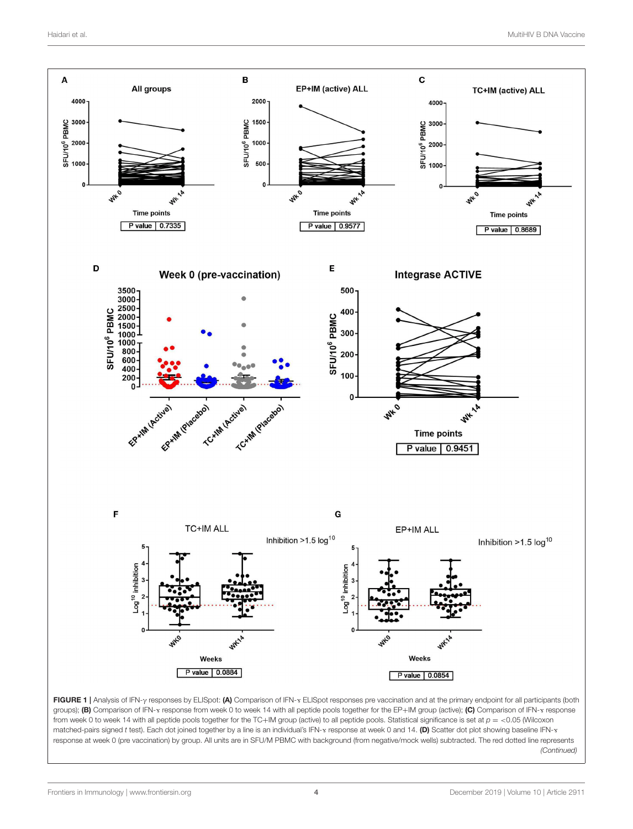

<span id="page-3-0"></span>from week 0 to week 14 with all peptide pools together for the TC+IM group (active) to all peptide pools. Statistical significance is set at  $p = <0.05$  (Wilcoxon matched-pairs signed t test). Each dot joined together by a line is an individual's IFN-<sub>Y</sub> response at week 0 and 14. (D) Scatter dot plot showing baseline IFN-<sub>Y</sub> response at week 0 (pre vaccination) by group. All units are in SFU/M PBMC with background (from negative/mock wells) subtracted. The red dotted line represents (Continued)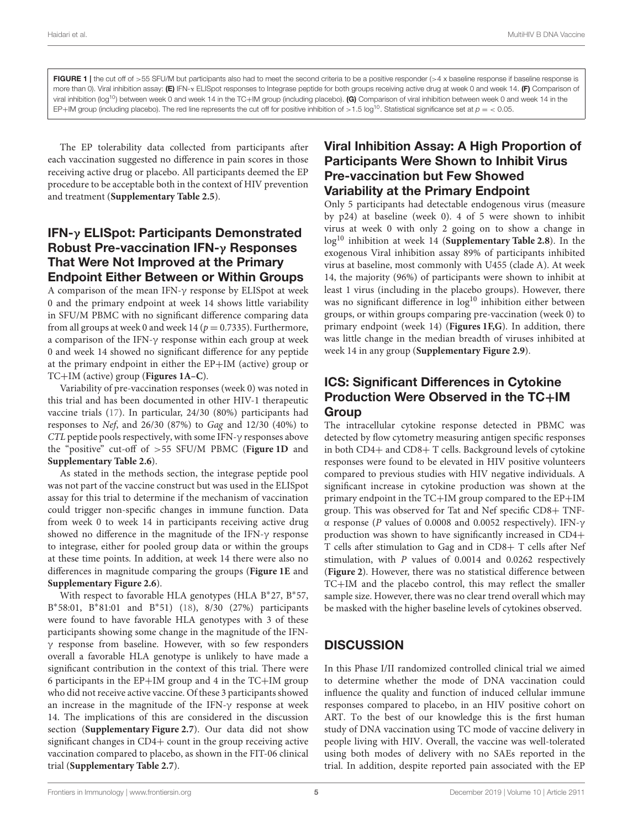FIGURE 1 | the cut off of >55 SFU/M but participants also had to meet the second criteria to be a positive responder (>4 x baseline response if baseline response is more than 0). Viral inhibition assay: (E) IFN-Y ELISpot responses to Integrase peptide for both groups receiving active drug at week 0 and week 14. (F) Comparison of viral inhibition (log<sup>10</sup>) between week 0 and week 14 in the TC+IM group (including placebo). (G) Comparison of viral inhibition between week 0 and week 14 in the EP+IM group (including placebo). The red line represents the cut off for positive inhibition of >1.5 log<sup>10</sup>. Statistical significance set at  $p = 0.05$ .

The EP tolerability data collected from participants after each vaccination suggested no difference in pain scores in those receiving active drug or placebo. All participants deemed the EP procedure to be acceptable both in the context of HIV prevention and treatment (**[Supplementary Table 2.5](#page-7-12)**).

#### IFN-γ ELISpot: Participants Demonstrated Robust Pre-vaccination IFN-γ Responses That Were Not Improved at the Primary Endpoint Either Between or Within Groups

A comparison of the mean IFN-γ response by ELISpot at week 0 and the primary endpoint at week 14 shows little variability in SFU/M PBMC with no significant difference comparing data from all groups at week 0 and week 14 ( $p = 0.7335$ ). Furthermore, a comparison of the IFN-γ response within each group at week 0 and week 14 showed no significant difference for any peptide at the primary endpoint in either the EP+IM (active) group or TC+IM (active) group (**[Figures 1A–C](#page-3-0)**).

Variability of pre-vaccination responses (week 0) was noted in this trial and has been documented in other HIV-1 therapeutic vaccine trials [\(17\)](#page-7-17). In particular, 24/30 (80%) participants had responses to Nef, and 26/30 (87%) to Gag and 12/30 (40%) to CTL peptide pools respectively, with some IFN-γ responses above the "positive" cut-off of >55 SFU/M PBMC (**[Figure 1D](#page-3-0)** and **[Supplementary Table 2.6](#page-7-12)**).

As stated in the methods section, the integrase peptide pool was not part of the vaccine construct but was used in the ELISpot assay for this trial to determine if the mechanism of vaccination could trigger non-specific changes in immune function. Data from week 0 to week 14 in participants receiving active drug showed no difference in the magnitude of the IFN-γ response to integrase, either for pooled group data or within the groups at these time points. In addition, at week 14 there were also no differences in magnitude comparing the groups (**[Figure 1E](#page-3-0)** and **[Supplementary Figure 2.6](#page-7-12)**).

With respect to favorable HLA genotypes (HLA B<sup>\*</sup>27, B<sup>\*</sup>57, B\*58:01, B\*81:01 and B\*51) [\(18\)](#page-7-18), 8/30 (27%) participants were found to have favorable HLA genotypes with 3 of these participants showing some change in the magnitude of the IFNγ response from baseline. However, with so few responders overall a favorable HLA genotype is unlikely to have made a significant contribution in the context of this trial. There were 6 participants in the EP+IM group and 4 in the TC+IM group who did not receive active vaccine. Of these 3 participants showed an increase in the magnitude of the IFN-γ response at week 14. The implications of this are considered in the discussion section (**[Supplementary Figure 2.7](#page-7-12)**). Our data did not show significant changes in CD4+ count in the group receiving active vaccination compared to placebo, as shown in the FIT-06 clinical trial (**[Supplementary Table 2.7](#page-7-12)**).

### Viral Inhibition Assay: A High Proportion of Participants Were Shown to Inhibit Virus Pre-vaccination but Few Showed Variability at the Primary Endpoint

Only 5 participants had detectable endogenous virus (measure by p24) at baseline (week 0). 4 of 5 were shown to inhibit virus at week 0 with only 2 going on to show a change in log<sup>10</sup> inhibition at week 14 (**[Supplementary Table 2.8](#page-7-12)**). In the exogenous Viral inhibition assay 89% of participants inhibited virus at baseline, most commonly with U455 (clade A). At week 14, the majority (96%) of participants were shown to inhibit at least 1 virus (including in the placebo groups). However, there was no significant difference in  $log<sup>10</sup>$  inhibition either between groups, or within groups comparing pre-vaccination (week 0) to primary endpoint (week 14) (**[Figures 1F,G](#page-3-0)**). In addition, there was little change in the median breadth of viruses inhibited at week 14 in any group (**[Supplementary Figure 2.9](#page-7-12)**).

#### ICS: Significant Differences in Cytokine Production Were Observed in the TC+IM **Group**

The intracellular cytokine response detected in PBMC was detected by flow cytometry measuring antigen specific responses in both CD4+ and CD8+ T cells. Background levels of cytokine responses were found to be elevated in HIV positive volunteers compared to previous studies with HIV negative individuals. A significant increase in cytokine production was shown at the primary endpoint in the TC+IM group compared to the EP+IM group. This was observed for Tat and Nef specific CD8+ TNFα response (P values of 0.0008 and 0.0052 respectively). IFN-γ production was shown to have significantly increased in CD4+ T cells after stimulation to Gag and in CD8+ T cells after Nef stimulation, with P values of 0.0014 and 0.0262 respectively (**[Figure 2](#page-5-0)**). However, there was no statistical difference between TC+IM and the placebo control, this may reflect the smaller sample size. However, there was no clear trend overall which may be masked with the higher baseline levels of cytokines observed.

# **DISCUSSION**

In this Phase I/II randomized controlled clinical trial we aimed to determine whether the mode of DNA vaccination could influence the quality and function of induced cellular immune responses compared to placebo, in an HIV positive cohort on ART. To the best of our knowledge this is the first human study of DNA vaccination using TC mode of vaccine delivery in people living with HIV. Overall, the vaccine was well-tolerated using both modes of delivery with no SAEs reported in the trial. In addition, despite reported pain associated with the EP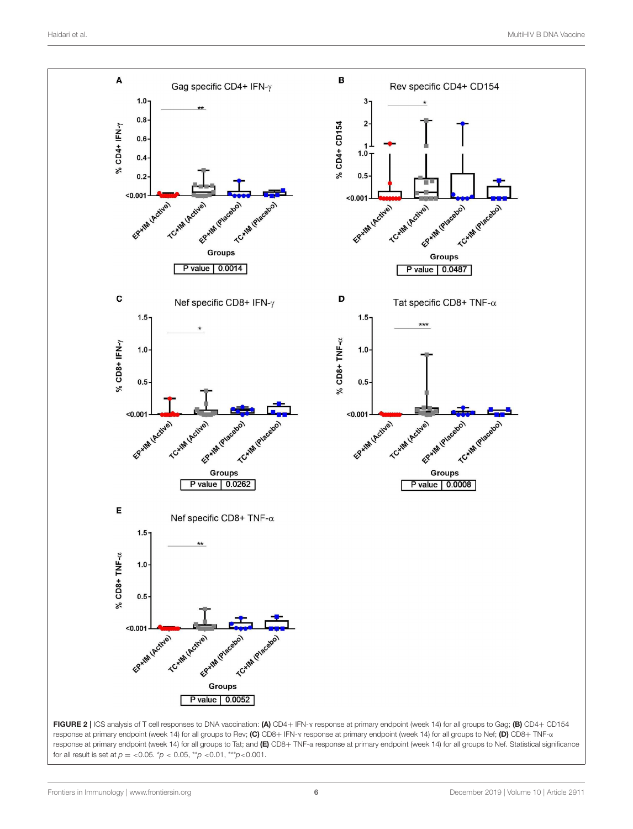<span id="page-5-0"></span>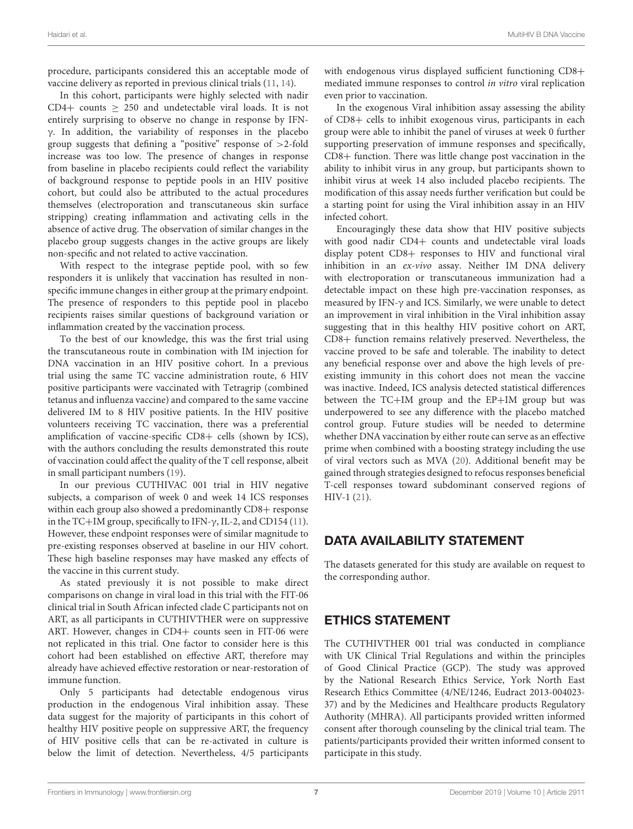procedure, participants considered this an acceptable mode of vaccine delivery as reported in previous clinical trials [\(11,](#page-7-10) [14\)](#page-7-14).

In this cohort, participants were highly selected with nadir CD4+ counts  $\geq$  250 and undetectable viral loads. It is not entirely surprising to observe no change in response by IFNγ. In addition, the variability of responses in the placebo group suggests that defining a "positive" response of >2-fold increase was too low. The presence of changes in response from baseline in placebo recipients could reflect the variability of background response to peptide pools in an HIV positive cohort, but could also be attributed to the actual procedures themselves (electroporation and transcutaneous skin surface stripping) creating inflammation and activating cells in the absence of active drug. The observation of similar changes in the placebo group suggests changes in the active groups are likely non-specific and not related to active vaccination.

With respect to the integrase peptide pool, with so few responders it is unlikely that vaccination has resulted in nonspecific immune changes in either group at the primary endpoint. The presence of responders to this peptide pool in placebo recipients raises similar questions of background variation or inflammation created by the vaccination process.

To the best of our knowledge, this was the first trial using the transcutaneous route in combination with IM injection for DNA vaccination in an HIV positive cohort. In a previous trial using the same TC vaccine administration route, 6 HIV positive participants were vaccinated with Tetragrip (combined tetanus and influenza vaccine) and compared to the same vaccine delivered IM to 8 HIV positive patients. In the HIV positive volunteers receiving TC vaccination, there was a preferential amplification of vaccine-specific CD8+ cells (shown by ICS), with the authors concluding the results demonstrated this route of vaccination could affect the quality of the T cell response, albeit in small participant numbers [\(19\)](#page-7-19).

In our previous CUTHIVAC 001 trial in HIV negative subjects, a comparison of week 0 and week 14 ICS responses within each group also showed a predominantly CD8+ response in the TC+IM group, specifically to IFN- $\gamma$ , IL-2, and CD154 [\(11\)](#page-7-10). However, these endpoint responses were of similar magnitude to pre-existing responses observed at baseline in our HIV cohort. These high baseline responses may have masked any effects of the vaccine in this current study.

As stated previously it is not possible to make direct comparisons on change in viral load in this trial with the FIT-06 clinical trial in South African infected clade C participants not on ART, as all participants in CUTHIVTHER were on suppressive ART. However, changes in CD4+ counts seen in FIT-06 were not replicated in this trial. One factor to consider here is this cohort had been established on effective ART, therefore may already have achieved effective restoration or near-restoration of immune function.

Only 5 participants had detectable endogenous virus production in the endogenous Viral inhibition assay. These data suggest for the majority of participants in this cohort of healthy HIV positive people on suppressive ART, the frequency of HIV positive cells that can be re-activated in culture is below the limit of detection. Nevertheless, 4/5 participants with endogenous virus displayed sufficient functioning CD8+ mediated immune responses to control in vitro viral replication even prior to vaccination.

In the exogenous Viral inhibition assay assessing the ability of CD8+ cells to inhibit exogenous virus, participants in each group were able to inhibit the panel of viruses at week 0 further supporting preservation of immune responses and specifically, CD8+ function. There was little change post vaccination in the ability to inhibit virus in any group, but participants shown to inhibit virus at week 14 also included placebo recipients. The modification of this assay needs further verification but could be a starting point for using the Viral inhibition assay in an HIV infected cohort.

Encouragingly these data show that HIV positive subjects with good nadir CD4+ counts and undetectable viral loads display potent CD8+ responses to HIV and functional viral inhibition in an ex-vivo assay. Neither IM DNA delivery with electroporation or transcutaneous immunization had a detectable impact on these high pre-vaccination responses, as measured by IFN-γ and ICS. Similarly, we were unable to detect an improvement in viral inhibition in the Viral inhibition assay suggesting that in this healthy HIV positive cohort on ART, CD8+ function remains relatively preserved. Nevertheless, the vaccine proved to be safe and tolerable. The inability to detect any beneficial response over and above the high levels of preexisting immunity in this cohort does not mean the vaccine was inactive. Indeed, ICS analysis detected statistical differences between the TC+IM group and the EP+IM group but was underpowered to see any difference with the placebo matched control group. Future studies will be needed to determine whether DNA vaccination by either route can serve as an effective prime when combined with a boosting strategy including the use of viral vectors such as MVA [\(20\)](#page-7-20). Additional benefit may be gained through strategies designed to refocus responses beneficial T-cell responses toward subdominant conserved regions of HIV-1 [\(21\)](#page-7-21).

#### DATA AVAILABILITY STATEMENT

The datasets generated for this study are available on request to the corresponding author.

### ETHICS STATEMENT

The CUTHIVTHER 001 trial was conducted in compliance with UK Clinical Trial Regulations and within the principles of Good Clinical Practice (GCP). The study was approved by the National Research Ethics Service, York North East Research Ethics Committee (4/NE/1246, Eudract 2013-004023- 37) and by the Medicines and Healthcare products Regulatory Authority (MHRA). All participants provided written informed consent after thorough counseling by the clinical trial team. The patients/participants provided their written informed consent to participate in this study.